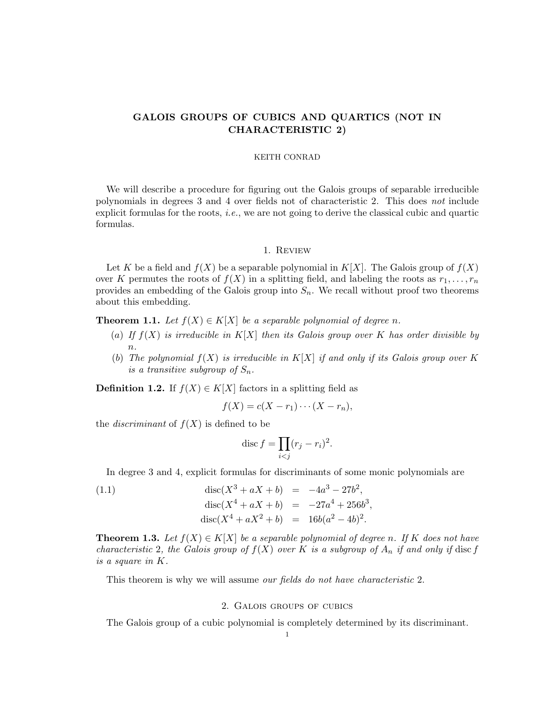# GALOIS GROUPS OF CUBICS AND QUARTICS (NOT IN CHARACTERISTIC 2)

## KEITH CONRAD

We will describe a procedure for figuring out the Galois groups of separable irreducible polynomials in degrees 3 and 4 over fields not of characteristic 2. This does not include explicit formulas for the roots, i.e., we are not going to derive the classical cubic and quartic formulas.

#### 1. Review

Let K be a field and  $f(X)$  be a separable polynomial in  $K[X]$ . The Galois group of  $f(X)$ over K permutes the roots of  $f(X)$  in a splitting field, and labeling the roots as  $r_1, \ldots, r_n$ provides an embedding of the Galois group into  $S_n$ . We recall without proof two theorems about this embedding.

<span id="page-0-0"></span>**Theorem 1.1.** Let  $f(X) \in K[X]$  be a separable polynomial of degree n.

- (a) If  $f(X)$  is irreducible in  $K[X]$  then its Galois group over K has order divisible by  $n<sub>1</sub>$
- (b) The polynomial  $f(X)$  is irreducible in  $K[X]$  if and only if its Galois group over K is a transitive subgroup of  $S_n$ .

**Definition 1.2.** If  $f(X) \in K[X]$  factors in a splitting field as

$$
f(X) = c(X - r_1) \cdots (X - r_n),
$$

the *discriminant* of  $f(X)$  is defined to be

<span id="page-0-2"></span>
$$
\operatorname{disc} f = \prod_{i < j} (r_j - r_i)^2.
$$

In degree 3 and 4, explicit formulas for discriminants of some monic polynomials are

(1.1) 
$$
\operatorname{disc}(X^3 + aX + b) = -4a^3 - 27b^2,
$$

$$
\operatorname{disc}(X^4 + aX + b) = -27a^4 + 256b^3,
$$

$$
\operatorname{disc}(X^4 + aX^2 + b) = 16b(a^2 - 4b)^2.
$$

<span id="page-0-1"></span>**Theorem 1.3.** Let  $f(X) \in K[X]$  be a separable polynomial of degree n. If K does not have characteristic 2, the Galois group of  $f(X)$  over K is a subgroup of  $A_n$  if and only if disc f is a square in K.

This theorem is why we will assume our fields do not have characteristic 2.

## 2. Galois groups of cubics

The Galois group of a cubic polynomial is completely determined by its discriminant.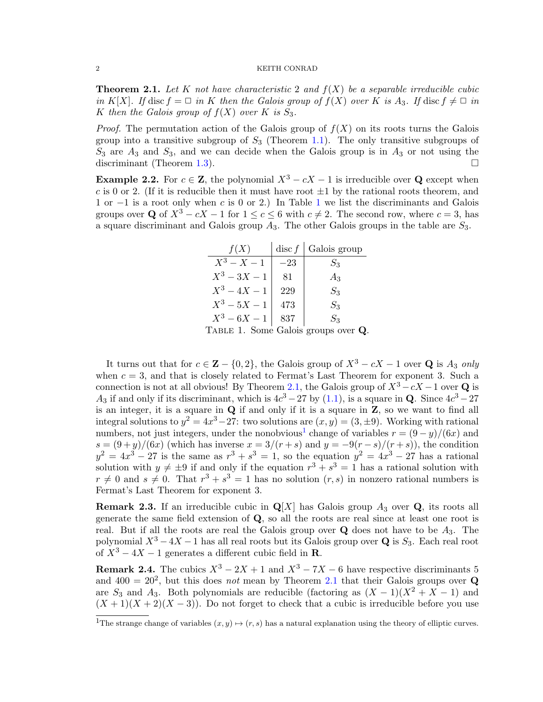<span id="page-1-1"></span>**Theorem 2.1.** Let K not have characteristic 2 and  $f(X)$  be a separable irreducible cubic in K[X]. If disc  $f = \Box$  in K then the Galois group of  $f(X)$  over K is  $A_3$ . If disc  $f \neq \Box$  in K then the Galois group of  $f(X)$  over K is  $S_3$ .

*Proof.* The permutation action of the Galois group of  $f(X)$  on its roots turns the Galois group into a transitive subgroup of  $S_3$  (Theorem [1.1\)](#page-0-0). The only transitive subgroups of  $S_3$  are  $A_3$  and  $S_3$ , and we can decide when the Galois group is in  $A_3$  or not using the discriminant (Theorem [1.3\)](#page-0-1).

<span id="page-1-3"></span>**Example 2.2.** For  $c \in \mathbb{Z}$ , the polynomial  $X^3 - cX - 1$  is irreducible over Q except when c is 0 or 2. (If it is reducible then it must have root  $\pm 1$  by the rational roots theorem, and 1 or −1 is a root only when c is 0 or 2.) In Table [1](#page-1-0) we list the discriminants and Galois groups over Q of  $X^3 - cX - 1$  for  $1 \leq c \leq 6$  with  $c \neq 2$ . The second row, where  $c = 3$ , has a square discriminant and Galois group  $A_3$ . The other Galois groups in the table are  $S_3$ .

<span id="page-1-0"></span>

| f(X)                                | $\operatorname{disc} f$ | Galois group |
|-------------------------------------|-------------------------|--------------|
| $X^3 - X - 1$                       | $^{-23}$                | $S_3$        |
| $X^3 - 3X - 1$                      | 81                      | $A_3$        |
| $X^3 - 4X - 1$                      | 229                     | $S_3$        |
| $X^3 - 5X - 1$                      | 473                     | $S_3$        |
| $X^3 - 6X - 1$                      | 837                     | $S_3$        |
| TABLE 1. Some Galois groups over Q. |                         |              |

It turns out that for  $c \in \mathbf{Z} - \{0, 2\}$ , the Galois group of  $X^3 - cX - 1$  over Q is  $A_3$  only when  $c = 3$ , and that is closely related to Fermat's Last Theorem for exponent 3. Such a connection is not at all obvious! By Theorem [2.1,](#page-1-1) the Galois group of  $X^3 - cX - 1$  over Q is  $A_3$  if and only if its discriminant, which is  $4c^3 - 27$  by  $(1.1)$ , is a square in **Q**. Since  $4c^3 - 27$ is an integer, it is a square in  $\bf{Q}$  if and only if it is a square in  $\bf{Z}$ , so we want to find all integral solutions to  $y^2 = 4x^3 - 27$ : two solutions are  $(x, y) = (3, \pm 9)$ . Working with rational numbers, not just integers, under the nonobvious<sup>[1](#page-1-2)</sup> change of variables  $r = (9 - y)/(6x)$  and  $s = (9+y)/(6x)$  (which has inverse  $x = 3/(r+s)$  and  $y = -9(r-s)/(r+s)$ ), the condition  $y^2 = 4x^3 - 27$  is the same as  $r^3 + s^3 = 1$ , so the equation  $y^2 = 4x^3 - 27$  has a rational solution with  $y \neq \pm 9$  if and only if the equation  $r^3 + s^3 = 1$  has a rational solution with  $r \neq 0$  and  $s \neq 0$ . That  $r^3 + s^3 = 1$  has no solution  $(r, s)$  in nonzero rational numbers is Fermat's Last Theorem for exponent 3.

**Remark 2.3.** If an irreducible cubic in  $\mathbf{Q}[X]$  has Galois group  $A_3$  over  $\mathbf{Q}$ , its roots all generate the same field extension of Q, so all the roots are real since at least one root is real. But if all the roots are real the Galois group over  $Q$  does not have to be  $A_3$ . The polynomial  $X^3 - 4X - 1$  has all real roots but its Galois group over Q is  $S_3$ . Each real root of  $X^3 - 4X - 1$  generates a different cubic field in **R**.

<span id="page-1-4"></span>**Remark 2.4.** The cubics  $X^3 - 2X + 1$  and  $X^3 - 7X - 6$  have respective discriminants 5 and  $400 = 20^2$ , but this does *not* mean by Theorem [2.1](#page-1-1) that their Galois groups over Q are  $S_3$  and  $A_3$ . Both polynomials are reducible (factoring as  $(X - 1)(X^2 + X - 1)$ ) and  $(X + 1)(X + 2)(X - 3)$ . Do not forget to check that a cubic is irreducible before you use

<span id="page-1-2"></span><sup>&</sup>lt;sup>1</sup>The strange change of variables  $(x, y) \mapsto (r, s)$  has a natural explanation using the theory of elliptic curves.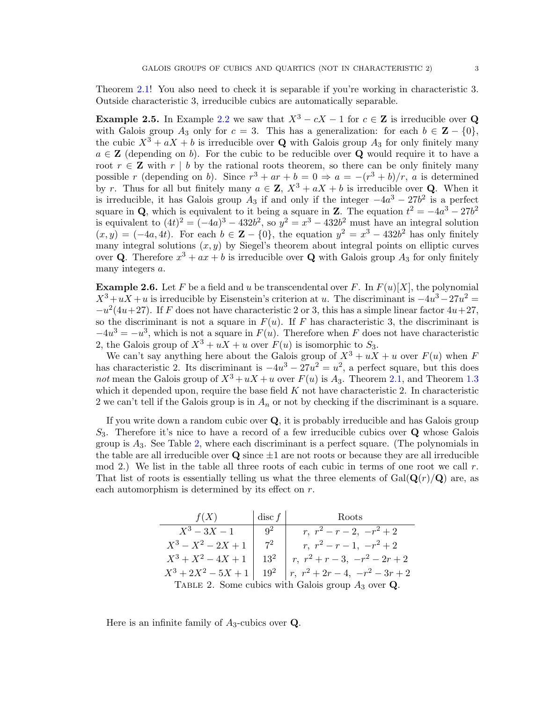Theorem [2.1!](#page-1-1) You also need to check it is separable if you're working in characteristic 3. Outside characteristic 3, irreducible cubics are automatically separable.

**Example 2.5.** In Example [2.2](#page-1-3) we saw that  $X^3 - cX - 1$  for  $c \in \mathbb{Z}$  is irreducible over Q with Galois group  $A_3$  only for  $c = 3$ . This has a generalization: for each  $b \in \mathbb{Z} - \{0\}$ , the cubic  $X^3 + aX + b$  is irreducible over Q with Galois group  $A_3$  for only finitely many  $a \in \mathbb{Z}$  (depending on b). For the cubic to be reducible over **Q** would require it to have a root  $r \in \mathbb{Z}$  with  $r \mid b$  by the rational roots theorem, so there can be only finitely many possible r (depending on b). Since  $r^3 + ar + b = 0 \Rightarrow a = -(r^3 + b)/r$ , a is determined by r. Thus for all but finitely many  $a \in \mathbb{Z}$ ,  $X^3 + aX + b$  is irreducible over **Q**. When it is irreducible, it has Galois group  $A_3$  if and only if the integer  $-4a^3 - 27b^2$  is a perfect square in Q, which is equivalent to it being a square in Z. The equation  $t^2 = -4a^3 - 27b^2$ is equivalent to  $(4t)^2 = (-4a)^3 - 432b^2$ , so  $y^2 = x^3 - 432b^2$  must have an integral solution  $(x, y) = (-4a, 4t)$ . For each  $b \in \mathbb{Z} - \{0\}$ , the equation  $y^2 = x^3 - 432b^2$  has only finitely many integral solutions  $(x, y)$  by Siegel's theorem about integral points on elliptic curves over **Q**. Therefore  $x^3 + ax + b$  is irreducible over **Q** with Galois group  $A_3$  for only finitely many integers a.

**Example 2.6.** Let F be a field and u be transcendental over F. In  $F(u)[X]$ , the polynomial  $X^3 + uX + u$  is irreducible by Eisenstein's criterion at u. The discriminant is  $-4u^3 - 27u^2 =$  $-u^2(4u+27)$ . If F does not have characteristic 2 or 3, this has a simple linear factor  $4u+27$ , so the discriminant is not a square in  $F(u)$ . If F has characteristic 3, the discriminant is  $-4u^3 = -u^3$ , which is not a square in  $F(u)$ . Therefore when F does not have characteristic 2, the Galois group of  $X^3 + uX + u$  over  $F(u)$  is isomorphic to  $S_3$ .

We can't say anything here about the Galois group of  $X^3 + uX + u$  over  $F(u)$  when F has characteristic 2. Its discriminant is  $-4u^3 - 27u^2 = u^2$ , a perfect square, but this does not mean the Galois group of  $X^3 + uX + u$  over  $F(u)$  is  $A_3$ . Theorem [2.1,](#page-1-1) and Theorem [1.3](#page-0-1) which it depended upon, require the base field  $K$  not have characteristic 2. In characteristic 2 we can't tell if the Galois group is in  $A_n$  or not by checking if the discriminant is a square.

If you write down a random cubic over Q, it is probably irreducible and has Galois group  $S_3$ . Therefore it's nice to have a record of a few irreducible cubics over Q whose Galois group is  $A_3$ . See Table [2,](#page-2-0) where each discriminant is a perfect square. (The polynomials in the table are all irreducible over  $\bf{Q}$  since  $\pm 1$  are not roots or because they are all irreducible mod 2.) We list in the table all three roots of each cubic in terms of one root we call  $r$ . That list of roots is essentially telling us what the three elements of  $Gal(Q(r)/Q)$  are, as each automorphism is determined by its effect on  $r$ .

<span id="page-2-0"></span>

| f(X)                  | $\operatorname{disc} f$         | Roots                                                   |
|-----------------------|---------------------------------|---------------------------------------------------------|
| $X^3 - 3X - 1$        | $\vert$ $\vert$ $\vert$ $\vert$ | $r, r^2-r-2, -r^2+2$                                    |
| $X^3 - X^2 - 2X + 1$  | $7^2$                           | $r, r^2-r-1, -r^2+2$                                    |
| $X^3 + X^2 - 4X + 1$  | $13^2$                          | $r, r^2+r-3, -r^2-2r+2$                                 |
| $X^3 + 2X^2 - 5X + 1$ | $19^2$                          | $r, r^2+2r-4, -r^2-3r+2$                                |
|                       |                                 | TABLE 2. Some cubics with Galois group $A_3$ over $Q$ . |

Here is an infinite family of  $A_3$ -cubics over **Q**.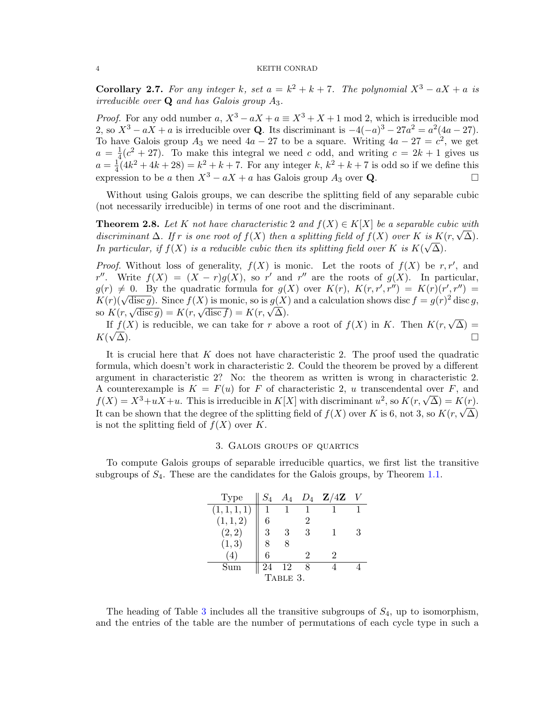**Corollary 2.7.** For any integer k, set  $a = k^2 + k + 7$ . The polynomial  $X^3 - aX + a$  is irreducible over  $Q$  and has Galois group  $A_3$ .

*Proof.* For any odd number a,  $X^3 - aX + a \equiv X^3 + X + 1$  mod 2, which is irreducible mod 2, so  $X^3 - aX + a$  is irreducible over Q. Its discriminant is  $-4(-a)^3 - 27a^2 = a^2(4a - 27)$ . To have Galois group  $A_3$  we need  $4a - 27$  to be a square. Writing  $4a - 27 = c^2$ , we get  $a = \frac{1}{4}$  $\frac{1}{4}(c^2+27)$ . To make this integral we need c odd, and writing  $c=2k+1$  gives us  $a=\frac{1}{4}$  $\frac{1}{4}(4k^2+4k+28) = k^2 + k + 7$ . For any integer k,  $k^2 + k + 7$  is odd so if we define this expression to be a then  $X^3 - aX + a$  has Galois group  $A_3$  over **Q**.

Without using Galois groups, we can describe the splitting field of any separable cubic (not necessarily irreducible) in terms of one root and the discriminant.

<span id="page-3-1"></span>**Theorem 2.8.** Let K not have characteristic 2 and  $f(X) \in K[X]$  be a separable cubic with **Theorem 2.8.** Let  $\Lambda$  not have characteristic 2 and  $f(X) \in \Lambda[X]$  be a separable cubic with discriminant  $\Delta$ . If r is one root of  $f(X)$  then a splitting field of  $f(X)$  over  $K$  is  $K(r, \sqrt{\Delta})$ . In particular, if  $f(X)$  is a reducible cubic then its splitting field over K is  $K(\sqrt{\Delta})$ .

*Proof.* Without loss of generality,  $f(X)$  is monic. Let the roots of  $f(X)$  be r, r', and r''. Write  $f(X) = (X - r)g(X)$ , so r' and r'' are the roots of  $g(X)$ . In particular,  $g(r) \neq 0$ . By the quadratic formula for  $g(X)$  over  $K(r)$ ,  $K(r, r', r'') = K(r)(r', r'') =$  $g(r) \neq 0$ . By the quadratic formula for  $g(\lambda)$  over  $K(r)$ ,  $K(r,r, r') = K(r)(r, r') = K(r)(\sqrt{\text{disc } g})$ . Since  $f(\lambda)$  is monic, so is  $g(\lambda)$  and a calculation shows disc  $f = g(r)^2$  disc g,  $K(r)(\sqrt{\text{disc }g})$ . Since  $f(\lambda)$  is monic, so is  $g(\lambda)$ <br>so  $K(r, \sqrt{\text{disc }g}) = K(r, \sqrt{\text{disc }f}) = K(r, \sqrt{\Delta})$ .

 $K(r, \sqrt{\text{disc }g}) = K(r, \sqrt{\text{disc }f}) = K(r, \sqrt{\Delta}).$ <br>If  $f(X)$  is reducible, we can take for r above a root of  $f(X)$  in K. Then  $K(r, \sqrt{\Delta}) =$  $K(\sqrt{\Delta})$ .  $\overline{\Delta}$ ).

It is crucial here that  $K$  does not have characteristic 2. The proof used the quadratic formula, which doesn't work in characteristic 2. Could the theorem be proved by a different argument in characteristic 2? No: the theorem as written is wrong in characteristic 2. A counterexample is  $K = F(u)$  for F of characteristic 2, u transcendental over F, and A counterexample is  $K = F(u)$  for *F* or characteristic 2, *u* transcendental over *F*, and  $f(X) = X^3 + uX + u$ . This is irreducible in  $K[X]$  with discriminant  $u^2$ , so  $K(r, \sqrt{\Delta}) = K(r)$ .  $J(X) = X^* + uX + u$ . This is irreduction in  $K[X]$  with discriminant  $u^*,$  so  $K(Y, \sqrt{\Delta}) = K(Y)$ .<br>It can be shown that the degree of the splitting field of  $f(X)$  over K is 6, not 3, so  $K(Y, \sqrt{\Delta})$ is not the splitting field of  $f(X)$  over K.

#### 3. Galois groups of quartics

To compute Galois groups of separable irreducible quartics, we first list the transitive subgroups of  $S_4$ . These are the candidates for the Galois groups, by Theorem [1.1.](#page-0-0)

<span id="page-3-0"></span>

| <b>Type</b>  | $S_4$ | Aл |    | $D_4$ Z/4Z |  |
|--------------|-------|----|----|------------|--|
| (1, 1, 1, 1) |       |    |    |            |  |
| (1, 1, 2)    | 6     |    | '2 |            |  |
| (2, 2)       | 3     | 3  | 3  | 1          |  |
| (1, 3)       |       |    |    |            |  |
|              | 6     |    |    |            |  |
| Sum          | 24    | 12 |    |            |  |
| TABLE 3.     |       |    |    |            |  |

The heading of Table [3](#page-3-0) includes all the transitive subgroups of  $S_4$ , up to isomorphism, and the entries of the table are the number of permutations of each cycle type in such a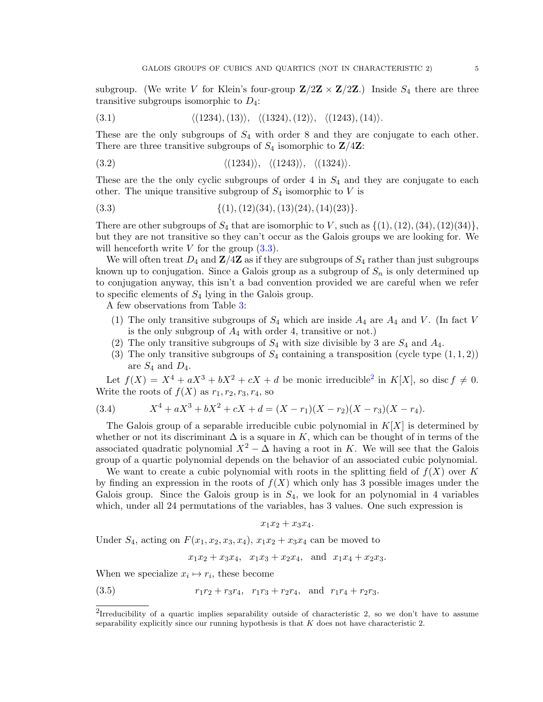subgroup. (We write V for Klein's four-group  $\mathbf{Z}/2\mathbf{Z} \times \mathbf{Z}/2\mathbf{Z}$ .) Inside  $S_4$  there are three transitive subgroups isomorphic to  $D_4$ :

<span id="page-4-3"></span>
$$
(3.1) \qquad \qquad \langle (1234), (13) \rangle, \ \langle (1324), (12) \rangle, \ \langle (1243), (14) \rangle.
$$

These are the only subgroups of  $S_4$  with order 8 and they are conjugate to each other. There are three transitive subgroups of  $S_4$  isomorphic to  $\mathbf{Z}/4\mathbf{Z}$ :

$$
\langle (1234) \rangle, \quad \langle (1234) \rangle, \quad \langle (1243) \rangle, \quad \langle (1324) \rangle.
$$

These are the the only cyclic subgroups of order 4 in  $S_4$  and they are conjugate to each other. The unique transitive subgroup of  $S_4$  isomorphic to V is

<span id="page-4-0"></span>
$$
{(3.3)} \qquad \qquad {\{1), (12)(34), (13)(24), (14)(23)\}}.
$$

There are other subgroups of  $S_4$  that are isomorphic to V, such as  $\{(1), (12), (34), (12)(34)\},\$ but they are not transitive so they can't occur as the Galois groups we are looking for. We will henceforth write  $V$  for the group  $(3.3)$ .

We will often treat  $D_4$  and  $\mathbf{Z}/4\mathbf{Z}$  as if they are subgroups of  $S_4$  rather than just subgroups known up to conjugation. Since a Galois group as a subgroup of  $S_n$  is only determined up to conjugation anyway, this isn't a bad convention provided we are careful when we refer to specific elements of  $S_4$  lying in the Galois group.

A few observations from Table [3:](#page-3-0)

- (1) The only transitive subgroups of  $S_4$  which are inside  $A_4$  are  $A_4$  and V. (In fact V is the only subgroup of  $A_4$  with order 4, transitive or not.)
- (2) The only transitive subgroups of  $S_4$  with size divisible by 3 are  $S_4$  and  $A_4$ .
- (3) The only transitive subgroups of  $S_4$  containing a transposition (cycle type  $(1,1,2)$ ) are  $S_4$  and  $D_4$ .

Let  $f(X) = X^4 + aX^3 + bX^2 + cX + d$  $f(X) = X^4 + aX^3 + bX^2 + cX + d$  $f(X) = X^4 + aX^3 + bX^2 + cX + d$  be monic irreducible<sup>2</sup> in  $K[X]$ , so disc  $f \neq 0$ . Write the roots of  $f(X)$  as  $r_1, r_2, r_3, r_4$ , so

(3.4) 
$$
X^4 + aX^3 + bX^2 + cX + d = (X - r_1)(X - r_2)(X - r_3)(X - r_4).
$$

The Galois group of a separable irreducible cubic polynomial in  $K[X]$  is determined by whether or not its discriminant  $\Delta$  is a square in K, which can be thought of in terms of the associated quadratic polynomial  $X^2 - \Delta$  having a root in K. We will see that the Galois group of a quartic polynomial depends on the behavior of an associated cubic polynomial.

We want to create a cubic polynomial with roots in the splitting field of  $f(X)$  over K by finding an expression in the roots of  $f(X)$  which only has 3 possible images under the Galois group. Since the Galois group is in  $S_4$ , we look for an polynomial in 4 variables which, under all 24 permutations of the variables, has 3 values. One such expression is

$$
x_1x_2+x_3x_4.
$$

Under  $S_4$ , acting on  $F(x_1, x_2, x_3, x_4)$ ,  $x_1x_2 + x_3x_4$  can be moved to

<span id="page-4-2"></span> $x_1x_2 + x_3x_4$ ,  $x_1x_3 + x_2x_4$ , and  $x_1x_4 + x_2x_3$ .

When we specialize  $x_i \mapsto r_i$ , these become

(3.5) 
$$
r_1r_2 + r_3r_4, r_1r_3 + r_2r_4, \text{ and } r_1r_4 + r_2r_3.
$$

<span id="page-4-1"></span><sup>&</sup>lt;sup>2</sup>Irreducibility of a quartic implies separability outside of characteristic 2, so we don't have to assume separability explicitly since our running hypothesis is that  $K$  does not have characteristic 2.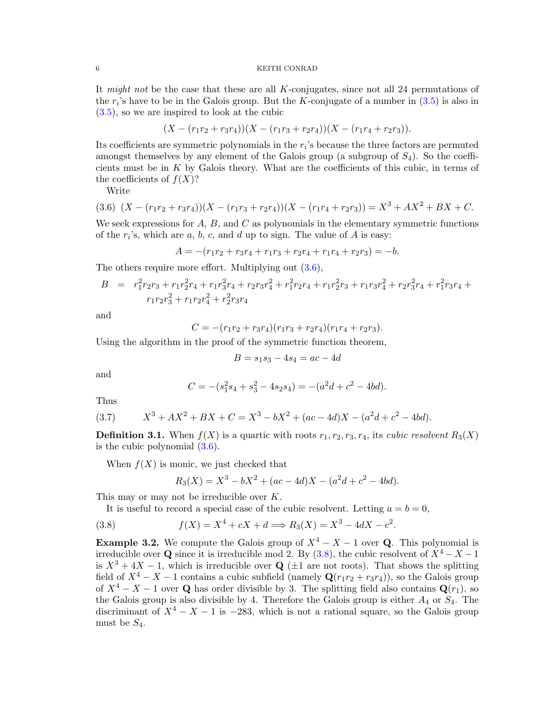It might not be the case that these are all K-conjugates, since not all 24 permutations of the  $r_i$ 's have to be in the Galois group. But the K-conjugate of a number in  $(3.5)$  is also in [\(3.5\)](#page-4-2), so we are inspired to look at the cubic

$$
(X - (r_1r_2 + r_3r_4))(X - (r_1r_3 + r_2r_4))(X - (r_1r_4 + r_2r_3)).
$$

Its coefficients are symmetric polynomials in the  $r_i$ 's because the three factors are permuted amongst themselves by any element of the Galois group (a subgroup of  $S_4$ ). So the coefficients must be in K by Galois theory. What are the coefficients of this cubic, in terms of the coefficients of  $f(X)$ ?

<span id="page-5-0"></span>Write

$$
(3.6)\ \ (X - (r_1r_2 + r_3r_4))(X - (r_1r_3 + r_2r_4))(X - (r_1r_4 + r_2r_3)) = X^3 + AX^2 + BX + C.
$$

We seek expressions for  $A, B$ , and  $C$  as polynomials in the elementary symmetric functions of the  $r_i$ 's, which are  $a, b, c$ , and  $d$  up to sign. The value of  $A$  is easy:

$$
A = -(r_1r_2 + r_3r_4 + r_1r_3 + r_2r_4 + r_1r_4 + r_2r_3) = -b.
$$

The others require more effort. Multiplying out [\(3.6\)](#page-5-0),

$$
B = r_1^2 r_2 r_3 + r_1 r_2^2 r_4 + r_1 r_3^2 r_4 + r_2 r_3 r_4^2 + r_1^2 r_2 r_4 + r_1 r_2^2 r_3 + r_1 r_3 r_4^2 + r_2 r_3^2 r_4 + r_1^2 r_3 r_4 +
$$
  

$$
r_1 r_2 r_3^2 + r_1 r_2 r_4^2 + r_2^2 r_3 r_4
$$

and

$$
C = -(r_1r_2 + r_3r_4)(r_1r_3 + r_2r_4)(r_1r_4 + r_2r_3).
$$

Using the algorithm in the proof of the symmetric function theorem,

$$
B = s_1 s_3 - 4s_4 = ac - 4d
$$

and

$$
C = -(s_1^2s_4 + s_3^2 - 4s_2s_4) = -(a^2d + c^2 - 4bd).
$$

Thus

<span id="page-5-2"></span>(3.7) 
$$
X^3 + AX^2 + BX + C = X^3 - bX^2 + (ac - 4d)X - (a^2d + c^2 - 4bd).
$$

**Definition 3.1.** When  $f(X)$  is a quartic with roots  $r_1, r_2, r_3, r_4$ , its *cubic resolvent*  $R_3(X)$ is the cubic polynomial [\(3.6\)](#page-5-0).

When  $f(X)$  is monic, we just checked that

<span id="page-5-1"></span>
$$
R_3(X) = X^3 - bX^2 + (ac - 4d)X - (a^2d + c^2 - 4bd).
$$

This may or may not be irreducible over K.

It is useful to record a special case of the cubic resolvent. Letting  $a = b = 0$ ,

(3.8) 
$$
f(X) = X^4 + cX + d \Longrightarrow R_3(X) = X^3 - 4dX - c^2.
$$

<span id="page-5-3"></span>**Example 3.2.** We compute the Galois group of  $X^4 - X - 1$  over **Q**. This polynomial is irreducible over Q since it is irreducible mod 2. By [\(3.8\)](#page-5-1), the cubic resolvent of  $X^4 - X - 1$ is  $X^3 + 4X - 1$ , which is irreducible over Q ( $\pm 1$  are not roots). That shows the splitting field of  $X^4 - X - 1$  contains a cubic subfield (namely  $\mathbf{Q}(r_1r_2 + r_3r_4)$ ), so the Galois group of  $X^4 - X - 1$  over Q has order divisible by 3. The splitting field also contains  $\mathbf{Q}(r_1)$ , so the Galois group is also divisible by 4. Therefore the Galois group is either  $A_4$  or  $S_4$ . The discriminant of  $X^4 - X - 1$  is  $-283$ , which is not a rational square, so the Galois group must be  $S_4$ .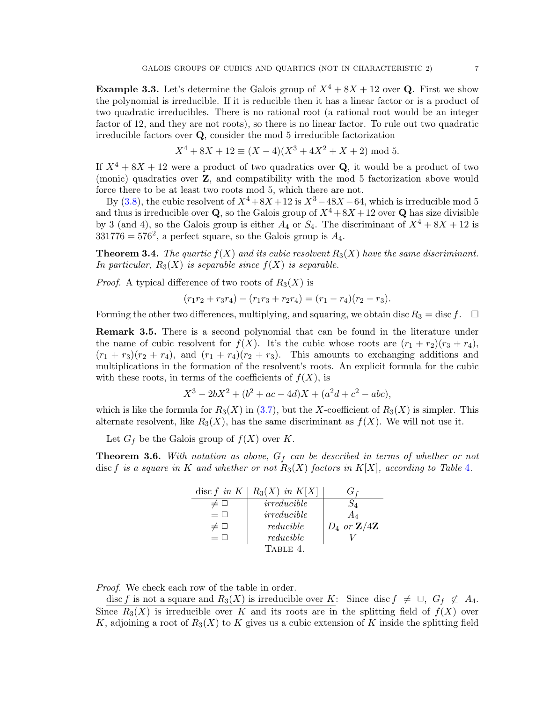<span id="page-6-1"></span>**Example 3.3.** Let's determine the Galois group of  $X^4 + 8X + 12$  over **Q**. First we show the polynomial is irreducible. If it is reducible then it has a linear factor or is a product of two quadratic irreducibles. There is no rational root (a rational root would be an integer factor of 12, and they are not roots), so there is no linear factor. To rule out two quadratic irreducible factors over Q, consider the mod 5 irreducible factorization

$$
X^4 + 8X + 12 \equiv (X - 4)(X^3 + 4X^2 + X + 2) \mod 5.
$$

If  $X^4 + 8X + 12$  were a product of two quadratics over Q, it would be a product of two (monic) quadratics over Z, and compatibility with the mod 5 factorization above would force there to be at least two roots mod 5, which there are not.

By [\(3.8\)](#page-5-1), the cubic resolvent of  $X^4 + 8X + 12$  is  $X^3 - 48X - 64$ , which is irreducible mod 5 and thus is irreducible over **Q**, so the Galois group of  $X^4 + 8X + 12$  over **Q** has size divisible by 3 (and 4), so the Galois group is either  $A_4$  or  $S_4$ . The discriminant of  $X^4 + 8X + 12$  is  $331776 = 576^2$ , a perfect square, so the Galois group is  $A_4$ .

**Theorem 3.4.** The quartic  $f(X)$  and its cubic resolvent  $R_3(X)$  have the same discriminant. In particular,  $R_3(X)$  is separable since  $f(X)$  is separable.

*Proof.* A typical difference of two roots of  $R_3(X)$  is

$$
(r_1r_2+r_3r_4)-(r_1r_3+r_2r_4)=(r_1-r_4)(r_2-r_3).
$$

Forming the other two differences, multiplying, and squaring, we obtain disc  $R_3 = \text{disc } f$ .  $\Box$ 

**Remark 3.5.** There is a second polynomial that can be found in the literature under the name of cubic resolvent for  $f(X)$ . It's the cubic whose roots are  $(r_1 + r_2)(r_3 + r_4)$ ,  $(r_1 + r_3)(r_2 + r_4)$ , and  $(r_1 + r_4)(r_2 + r_3)$ . This amounts to exchanging additions and multiplications in the formation of the resolvent's roots. An explicit formula for the cubic with these roots, in terms of the coefficients of  $f(X)$ , is

$$
X^3 - 2bX^2 + (b^2 + ac - 4d)X + (a^2d + c^2 - abc),
$$

which is like the formula for  $R_3(X)$  in [\(3.7\)](#page-5-2), but the X-coefficient of  $R_3(X)$  is simpler. This alternate resolvent, like  $R_3(X)$ , has the same discriminant as  $f(X)$ . We will not use it.

Let  $G_f$  be the Galois group of  $f(X)$  over K.

<span id="page-6-2"></span>**Theorem 3.6.** With notation as above,  $G_f$  can be described in terms of whether or not disc f is a square in K and whether or not  $R_3(X)$  factors in  $K[X]$ , according to Table [4](#page-6-0).

<span id="page-6-0"></span>

| disc $f$ in $K$ | $R_3(X)$ in $K[X]$ |                                   |
|-----------------|--------------------|-----------------------------------|
|                 | irreducible        |                                   |
| $= \Box$        | irreducible        | $A_{\it 4}$                       |
|                 | reducible          | $D_4$ or $\mathbf{Z}/4\mathbf{Z}$ |
| $= \Box$        | reducible          |                                   |
|                 | TABLE 4.           |                                   |

Proof. We check each row of the table in order.

disc f is not a square and  $R_3(X)$  is irreducible over K: Since disc  $f \neq \Box$ ,  $G_f \not\subset A_4$ . Since  $R_3(X)$  is irreducible over K and its roots are in the splitting field of  $f(X)$  over K, adjoining a root of  $R_3(X)$  to K gives us a cubic extension of K inside the splitting field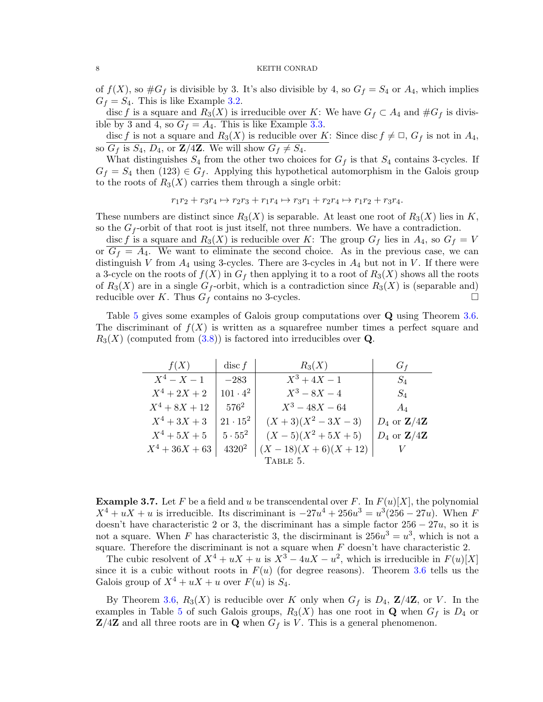of  $f(X)$ , so  $\#G_f$  is divisible by 3. It's also divisible by 4, so  $G_f = S_4$  or  $A_4$ , which implies  $G_f = S_4$ . This is like Example [3.2.](#page-5-3)

disc f is a square and  $R_3(X)$  is irreducible over K: We have  $G_f \subset A_4$  and  $\#G_f$  is divisible by 3 and 4, so  $G_f = A_4$ . This is like Example [3.3.](#page-6-1)

disc f is not a square and  $R_3(X)$  is reducible over K: Since disc  $f \neq \Box$ ,  $G_f$  is not in  $A_4$ , so  $G_f$  is  $S_4$ ,  $D_4$ , or  $\mathbb{Z}/4\mathbb{Z}$ . We will show  $G_f \neq S_4$ .

What distinguishes  $S_4$  from the other two choices for  $G_f$  is that  $S_4$  contains 3-cycles. If  $G_f = S_4$  then (123)  $\in G_f$ . Applying this hypothetical automorphism in the Galois group to the roots of  $R_3(X)$  carries them through a single orbit:

$$
r_1r_2 + r_3r_4 \mapsto r_2r_3 + r_1r_4 \mapsto r_3r_1 + r_2r_4 \mapsto r_1r_2 + r_3r_4.
$$

These numbers are distinct since  $R_3(X)$  is separable. At least one root of  $R_3(X)$  lies in K, so the  $G_f$ -orbit of that root is just itself, not three numbers. We have a contradiction.

disc f is a square and  $R_3(X)$  is reducible over K: The group  $G_f$  lies in  $A_4$ , so  $G_f = V$ or  $G_f = A_4$ . We want to eliminate the second choice. As in the previous case, we can distinguish V from  $A_4$  using 3-cycles. There are 3-cycles in  $A_4$  but not in V. If there were a 3-cycle on the roots of  $f(X)$  in  $G_f$  then applying it to a root of  $R_3(X)$  shows all the roots of  $R_3(X)$  are in a single  $G_f$ -orbit, which is a contradiction since  $R_3(X)$  is (separable and) reducible over K. Thus  $G_f$  contains no 3-cycles.

Table [5](#page-7-0) gives some examples of Galois group computations over Q using Theorem [3.6.](#page-6-2) The discriminant of  $f(X)$  is written as a squarefree number times a perfect square and  $R_3(X)$  (computed from  $(3.8)$ ) is factored into irreducibles over **Q**.

<span id="page-7-0"></span>

| f(X)             | $\operatorname{disc} f$ | $R_3(X)$            | $G_f$                             |
|------------------|-------------------------|---------------------|-----------------------------------|
| $X^4 - X - 1$    | $-283$                  | $X^3 + 4X - 1$      | $S_4$                             |
| $X^4 + 2X + 2$   | $101 \cdot 4^2$         | $X^3 - 8X - 4$      | $S_4$                             |
| $X^4 + 8X + 12$  | $576^2$                 | $X^3 - 48X - 64$    | $A_4$                             |
| $X^4 + 3X + 3$   | $21 \cdot 15^2$         | $(X+3)(X^2-3X-3)$   | $D_4$ or $\mathbf{Z}/4\mathbf{Z}$ |
| $X^4 + 5X + 5$   | $5\cdot 55^2$           | $(X-5)(X^2+5X+5)$   | $D_4$ or $\mathbf{Z}/4\mathbf{Z}$ |
| $X^4 + 36X + 63$ | $4320^2$                | $(X-18)(X+6)(X+12)$ |                                   |
|                  |                         | TABLE 5.            |                                   |

**Example 3.7.** Let F be a field and u be transcendental over F. In  $F(u)[X]$ , the polynomial  $X^4 + uX + u$  is irreducible. Its discriminant is  $-27u^4 + 256u^3 = u^3(256 - 27u)$ . When F doesn't have characteristic 2 or 3, the discriminant has a simple factor  $256 - 27u$ , so it is not a square. When F has characteristic 3, the discirminant is  $256u^3 = u^3$ , which is not a square. Therefore the discriminant is not a square when  $F$  doesn't have characteristic 2.

The cubic resolvent of  $X^4 + uX + u$  is  $X^3 - 4uX - u^2$ , which is irreducible in  $F(u)[X]$ since it is a cubic without roots in  $F(u)$  (for degree reasons). Theorem [3.6](#page-6-2) tells us the Galois group of  $X^4 + uX + u$  over  $F(u)$  is  $S_4$ .

By Theorem [3.6,](#page-6-2)  $R_3(X)$  is reducible over K only when  $G_f$  is  $D_4$ ,  $\mathbb{Z}/4\mathbb{Z}$ , or V. In the examples in Table [5](#page-7-0) of such Galois groups,  $R_3(X)$  has one root in Q when  $G_f$  is  $D_4$  or  $\mathbf{Z}/4\mathbf{Z}$  and all three roots are in **Q** when  $G_f$  is V. This is a general phenomenon.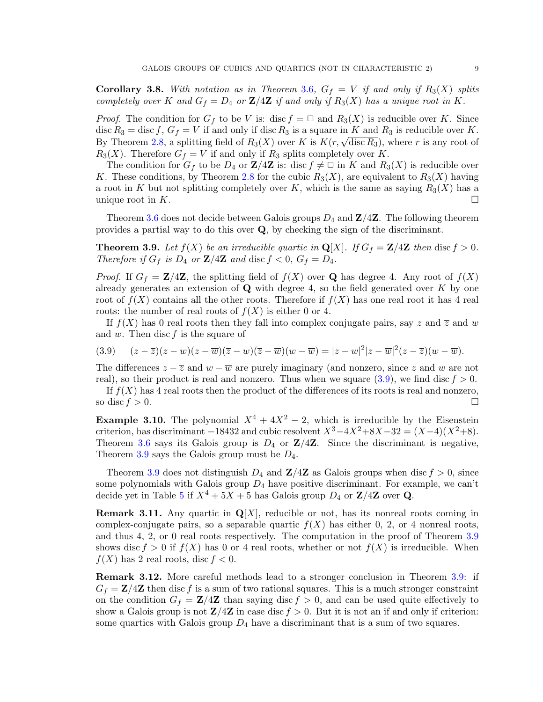<span id="page-8-2"></span>**Corollary [3](#page-6-2).8.** With notation as in Theorem 3.6,  $G_f = V$  if and only if  $R_3(X)$  splits completely over K and  $G_f = D_4$  or  $\mathbb{Z}/4\mathbb{Z}$  if and only if  $R_3(X)$  has a unique root in K.

*Proof.* The condition for  $G_f$  to be V is: disc  $f = \square$  and  $R_3(X)$  is reducible over K. Since disc  $R_3 = \text{disc } f, G_f = V$  if and only if disc  $R_3$  is a square in K and  $R_3$  is reducible over K. disc  $n_3$  = disc f,  $G_f = V$  if and only if disc  $n_3$  is a square in  $K$  and  $n_3$  is reductive over  $K$ .<br>By Theorem [2.8,](#page-3-1) a splitting field of  $R_3(X)$  over K is  $K(r, \sqrt{\text{disc } R_3})$ , where r is any root of  $R_3(X)$ . Therefore  $G_f = V$  if and only if  $R_3$  splits completely over K.

The condition for  $G_f$  to be  $D_4$  or  $\mathbb{Z}/4\mathbb{Z}$  is: disc  $f \neq \square$  in K and  $R_3(X)$  is reducible over K. These conditions, by Theorem [2.8](#page-3-1) for the cubic  $R_3(X)$ , are equivalent to  $R_3(X)$  having a root in K but not splitting completely over K, which is the same as saying  $R_3(X)$  has a unique root in K.

Theorem [3.6](#page-6-2) does not decide between Galois groups  $D_4$  and  $\mathbb{Z}/4\mathbb{Z}$ . The following theorem provides a partial way to do this over Q, by checking the sign of the discriminant.

<span id="page-8-1"></span>**Theorem 3.9.** Let  $f(X)$  be an irreducible quartic in  $\mathbf{Q}[X]$ . If  $G_f = \mathbf{Z}/4\mathbf{Z}$  then disc  $f > 0$ . Therefore if  $G_f$  is  $D_4$  or  $\mathbb{Z}/4\mathbb{Z}$  and disc  $f < 0$ ,  $G_f = D_4$ .

*Proof.* If  $G_f = \mathbb{Z}/4\mathbb{Z}$ , the splitting field of  $f(X)$  over **Q** has degree 4. Any root of  $f(X)$ already generates an extension of  $\bf{Q}$  with degree 4, so the field generated over  $K$  by one root of  $f(X)$  contains all the other roots. Therefore if  $f(X)$  has one real root it has 4 real roots: the number of real roots of  $f(X)$  is either 0 or 4.

If  $f(X)$  has 0 real roots then they fall into complex conjugate pairs, say z and  $\overline{z}$  and w and  $\overline{w}$ . Then disc f is the square of

<span id="page-8-0"></span>
$$
(3.9) \qquad (z-\overline{z})(z-w)(z-\overline{w})(\overline{z}-w)(\overline{z}-\overline{w})(w-\overline{w})=|z-w|^2|z-\overline{w}|^2(z-\overline{z})(w-\overline{w}).
$$

The differences  $z - \overline{z}$  and  $w - \overline{w}$  are purely imaginary (and nonzero, since z and w are not real), so their product is real and nonzero. Thus when we square  $(3.9)$ , we find disc  $f > 0$ .

If  $f(X)$  has 4 real roots then the product of the differences of its roots is real and nonzero, so disc  $f > 0$ .

**Example 3.10.** The polynomial  $X^4 + 4X^2 - 2$ , which is irreducible by the Eisenstein criterion, has discriminant  $-18432$  and cubic resolvent  $X^3 - 4X^2 + 8X - 32 = (X-4)(X^2+8)$ . Theorem [3.6](#page-6-2) says its Galois group is  $D_4$  or  $\mathbb{Z}/4\mathbb{Z}$ . Since the discriminant is negative, Theorem [3.9](#page-8-1) says the Galois group must be  $D_4$ .

Theorem [3.9](#page-8-1) does not distinguish  $D_4$  and  $\mathbb{Z}/4\mathbb{Z}$  as Galois groups when disc  $f > 0$ , since some polynomials with Galois group  $D_4$  have positive discriminant. For example, we can't decide yet in Table [5](#page-7-0) if  $X^4 + 5X + 5$  has Galois group  $D_4$  or  $\mathbb{Z}/4\mathbb{Z}$  over Q.

**Remark 3.11.** Any quartic in  $\mathbf{Q}[X]$ , reducible or not, has its nonreal roots coming in complex-conjugate pairs, so a separable quartic  $f(X)$  has either 0, 2, or 4 nonreal roots, and thus 4, 2, or 0 real roots respectively. The computation in the proof of Theorem [3.9](#page-8-1) shows disc  $f > 0$  if  $f(X)$  has 0 or 4 real roots, whether or not  $f(X)$  is irreducible. When  $f(X)$  has 2 real roots, disc  $f < 0$ .

Remark 3.12. More careful methods lead to a stronger conclusion in Theorem [3.9:](#page-8-1) if  $G_f = \mathbf{Z}/4\mathbf{Z}$  then disc f is a sum of two rational squares. This is a much stronger constraint on the condition  $G_f = \mathbf{Z}/4\mathbf{Z}$  than saying disc  $f > 0$ , and can be used quite effectively to show a Galois group is not  $\mathbf{Z}/4\mathbf{Z}$  in case disc  $f > 0$ . But it is not an if and only if criterion: some quartics with Galois group  $D_4$  have a discriminant that is a sum of two squares.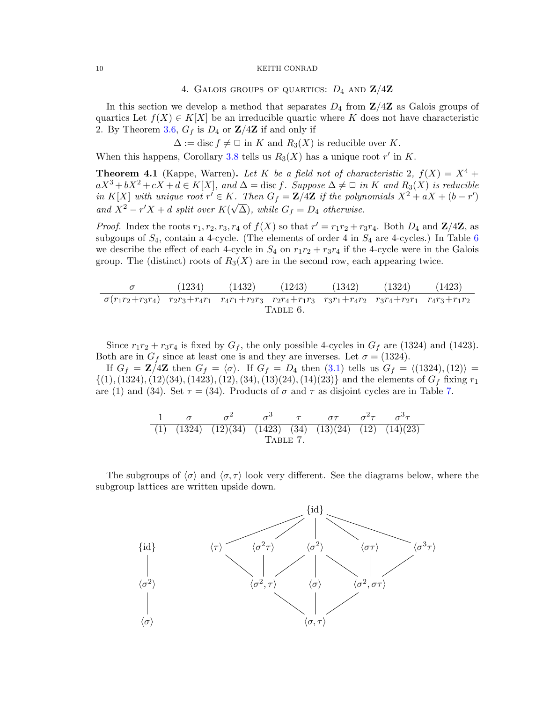## 4. GALOIS GROUPS OF QUARTICS:  $D_4$  AND  $\mathbf{Z}/4\mathbf{Z}$

<span id="page-9-3"></span>In this section we develop a method that separates  $D_4$  from  $\mathbb{Z}/4\mathbb{Z}$  as Galois groups of quartics Let  $f(X) \in K[X]$  be an irreducible quartic where K does not have characteristic 2. By Theorem [3.6,](#page-6-2)  $G_f$  is  $D_4$  or  $\mathbb{Z}/4\mathbb{Z}$  if and only if

 $\Delta := \text{disc } f \neq \square \text{ in } K \text{ and } R_3(X)$  is reducible over K.

When this happens, Corollary [3.8](#page-8-2) tells us  $R_3(X)$  has a unique root r' in K.

<span id="page-9-2"></span>**Theorem 4.1** (Kappe, Warren). Let K be a field not of characteristic 2,  $f(X) = X^4 +$  $aX^3 + bX^2 + cX + d \in K[X]$ , and  $\Delta = \text{disc } f$ . Suppose  $\Delta \neq \Box$  in K and  $R_3(X)$  is reducible in K[X] with unique root  $r' \in K$ . Then  $G_f = \mathbf{Z}/4\mathbf{Z}$  if the polynomials  $X^2 + aX + (b - r')$ and  $X^2 - r'X + d$  split over  $K(\sqrt{\Delta})$ , while  $G_f = D_4$  otherwise.

*Proof.* Index the roots  $r_1, r_2, r_3, r_4$  of  $f(X)$  so that  $r' = r_1r_2 + r_3r_4$ . Both  $D_4$  and  $\mathbb{Z}/4\mathbb{Z}$ , as subgoups of  $S_4$ , contain a 4-cycle. (The elements of order 4 in  $S_4$  are 4-cycles.) In Table [6](#page-9-0) we describe the effect of each 4-cycle in  $S_4$  on  $r_1r_2 + r_3r_4$  if the 4-cycle were in the Galois group. The (distinct) roots of  $R_3(X)$  are in the second row, each appearing twice.

$$
\begin{array}{c|ccccc}\n\sigma & (1234) & (1432) & (1243) & (1342) & (1324) & (1423) \\
\hline\n\sigma(r_1r_2+r_3r_4) & r_2r_3+r_4r_1 & r_4r_1+r_2r_3 & r_2r_4+r_1r_3 & r_3r_1+r_4r_2 & r_3r_4+r_2r_1 & r_4r_3+r_1r_2 \\
\hline\n\text{TABLE 6.}\n\end{array}
$$

Since  $r_1r_2 + r_3r_4$  is fixed by  $G_f$ , the only possible 4-cycles in  $G_f$  are (1324) and (1423). Both are in  $G_f$  since at least one is and they are inverses. Let  $\sigma = (1324)$ .

If  $G_f = \mathbb{Z}/4\mathbb{Z}$  then  $G_f = \langle \sigma \rangle$ . If  $G_f = D_4$  then [\(3.1\)](#page-4-3) tells us  $G_f = \langle (1324), (12) \rangle =$  $\{(1), (1324), (12)(34), (1423), (12), (34), (13)(24), (14)(23)\}$  and the elements of  $G_f$  fixing  $r_1$ are (1) and (34). Set  $\tau = (34)$ . Products of  $\sigma$  and  $\tau$  as disjoint cycles are in Table [7.](#page-9-1)

<span id="page-9-1"></span><span id="page-9-0"></span>
$$
\frac{1}{(1)-(1324)-(12)(34)-(1423)-(34)-(13)(24)-(12)-(14)(23)}
$$
  
TABLE 7.

The subgroups of  $\langle \sigma \rangle$  and  $\langle \sigma, \tau \rangle$  look very different. See the diagrams below, where the subgroup lattices are written upside down.

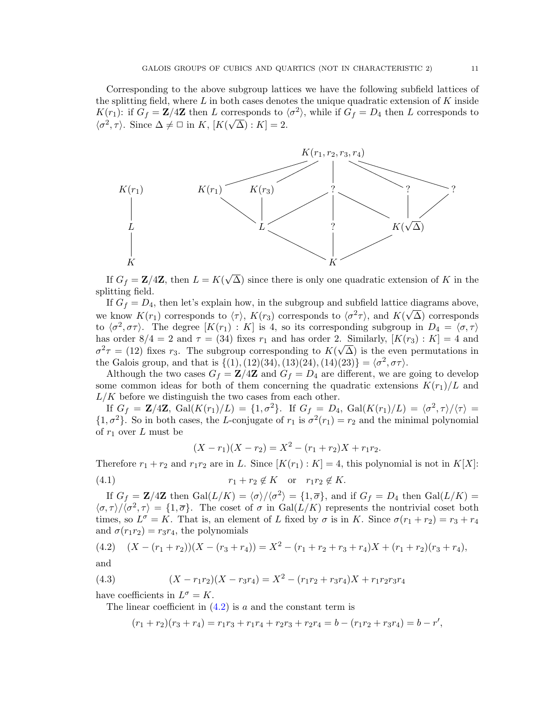Corresponding to the above subgroup lattices we have the following subfield lattices of the splitting field, where  $L$  in both cases denotes the unique quadratic extension of  $K$  inside  $K(r_1)$ : if  $G_f = \mathbb{Z}/4\mathbb{Z}$  then L corresponds to  $\langle \sigma^2 \rangle$ , while if  $G_f = D_4$  then L corresponds to  $\langle \sigma^2, \tau \rangle$ . Since  $\Delta \neq \square$  in K,  $[K(\sqrt{\Delta}) : K] = 2$ .



If  $G_f = \mathbf{Z}/4\mathbf{Z}$ , then  $L = K($  $\Delta$ ) since there is only one quadratic extension of K in the splitting field.

If  $G_f = D_4$ , then let's explain how, in the subgroup and subfield lattice diagrams above, we know  $K(r_1)$  corresponds to  $\langle \tau \rangle$ ,  $K(r_3)$  corresponds to  $\langle \sigma^2 \tau \rangle$ , and  $K(\sqrt{\Delta})$  corresponds to  $\langle \sigma^2, \sigma\tau \rangle$ . The degree  $[K(r_1) : K]$  is 4, so its corresponding subgroup in  $D_4 = \langle \sigma, \tau \rangle$ has order  $8/4 = 2$  and  $\tau = (34)$  fixes  $r_1$  and has order 2. Similarly,  $[K(r_3) : K] = 4$  and  $\sigma^2 \tau = (12)$  fixes  $r_3$ . The subgroup corresponding to  $K(\sqrt{\Delta})$  is the even permutations in the Galois group, and that is  $\{(1), (12)(34), (13)(24), (14)(23)\} = \langle \sigma^2, \sigma\tau \rangle$ .

Although the two cases  $G_f = \mathbf{Z}/4\mathbf{Z}$  and  $G_f = D_4$  are different, we are going to develop some common ideas for both of them concerning the quadratic extensions  $K(r_1)/L$  and  $L/K$  before we distinguish the two cases from each other.

If  $G_f = \mathbf{Z}/4\mathbf{Z}$ ,  $Gal(K(r_1)/L) = \{1, \sigma^2\}$ . If  $G_f = D_4$ ,  $Gal(K(r_1)/L) = \langle \sigma^2, \tau \rangle / \langle \tau \rangle =$  $\{1,\sigma^2\}$ . So in both cases, the L-conjugate of  $r_1$  is  $\sigma^2(r_1) = r_2$  and the minimal polynomial of  $r_1$  over L must be

<span id="page-10-2"></span>
$$
(X - r1)(X - r2) = X2 - (r1 + r2)X + r1r2.
$$

Therefore  $r_1 + r_2$  and  $r_1r_2$  are in L. Since  $[K(r_1): K] = 4$ , this polynomial is not in  $K[X]$ :

$$
(4.1) \t\t\t\t r_1 + r_2 \notin K \t or \t\t\t r_1r_2 \notin K.
$$

If  $G_f = \mathbb{Z}/4\mathbb{Z}$  then  $Gal(L/K) = \langle \sigma \rangle / \langle \sigma^2 \rangle = \{1, \overline{\sigma}\}\$ , and if  $G_f = D_4$  then  $Gal(L/K) =$  $\langle \sigma, \tau \rangle / \langle \sigma^2, \tau \rangle = \{1, \overline{\sigma}\}.$  The coset of  $\sigma$  in Gal( $L/K$ ) represents the nontrivial coset both times, so  $L^{\sigma} = K$ . That is, an element of L fixed by  $\sigma$  is in K. Since  $\sigma(r_1 + r_2) = r_3 + r_4$ and  $\sigma(r_1r_2) = r_3r_4$ , the polynomials

<span id="page-10-0"></span>(4.2) 
$$
(X - (r_1 + r_2))(X - (r_3 + r_4)) = X^2 - (r_1 + r_2 + r_3 + r_4)X + (r_1 + r_2)(r_3 + r_4),
$$

and

(4.3) 
$$
(X - r_1r_2)(X - r_3r_4) = X^2 - (r_1r_2 + r_3r_4)X + r_1r_2r_3r_4
$$

have coefficients in  $L^{\sigma} = K$ .

The linear coefficient in  $(4.2)$  is a and the constant term is

<span id="page-10-1"></span>
$$
(r_1+r_2)(r_3+r_4)=r_1r_3+r_1r_4+r_2r_3+r_2r_4=b-(r_1r_2+r_3r_4)=b-r',
$$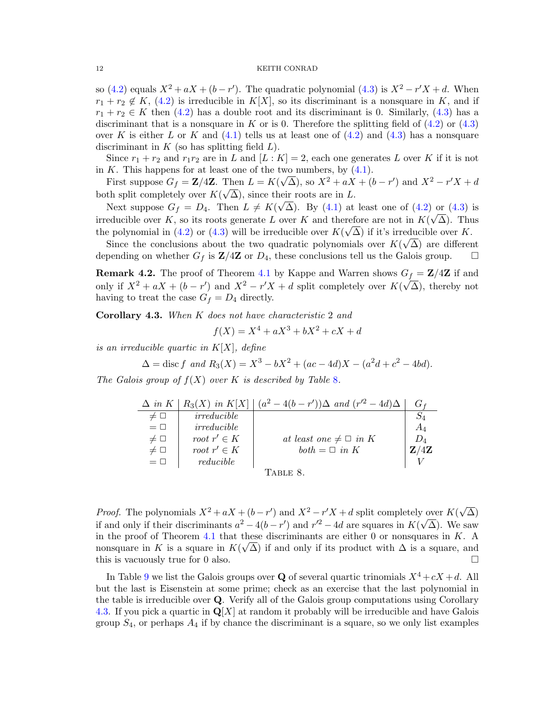so [\(4.2\)](#page-10-0) equals  $X^2 + aX + (b - r')$ . The quadratic polynomial [\(4.3\)](#page-10-1) is  $X^2 - r'X + d$ . When  $r_1 + r_2 \notin K$ , [\(4.2\)](#page-10-0) is irreducible in K[X], so its discriminant is a nonsquare in K, and if  $r_1 + r_2 \in K$  then [\(4.2\)](#page-10-0) has a double root and its discriminant is 0. Similarly, [\(4.3\)](#page-10-1) has a discriminant that is a nonsquare in K or is 0. Therefore the splitting field of  $(4.2)$  or  $(4.3)$ over K is either L or K and  $(4.1)$  tells us at least one of  $(4.2)$  and  $(4.3)$  has a nonsquare discriminant in  $K$  (so has splitting field  $L$ ).

Since  $r_1 + r_2$  and  $r_1r_2$  are in L and  $[L:K] = 2$ , each one generates L over K if it is not in K. This happens for at least one of the two numbers, by  $(4.1)$ .

First suppose  $G_f = \mathbf{Z}/4\mathbf{Z}$ . Then  $L = K(\sqrt{\Delta})$ , so  $X^2 + aX + (b - r')$  and  $X^2 - r'X + d$ both split completely over  $K(\sqrt{\Delta})$ , since their roots are in L.

Next suppose  $G_f = D_4$ . Then  $L \neq K(\sqrt{\Delta})$ . By [\(4.1\)](#page-10-2) at least one of [\(4.2\)](#page-10-0) or [\(4.3\)](#page-10-1) is irreducible over K, so its roots generate L over K and therefore are not in  $K(\sqrt{\Delta})$ . Thus the polynomial in [\(4.2\)](#page-10-0) or [\(4.3\)](#page-10-1) will be irreducible over  $K(\sqrt{\Delta})$  if it's irreducible over K.

Since the conclusions about the two quadratic polynomials over  $K(\sqrt{\Delta})$  are different depending on whether  $G_f$  is  $\mathbf{Z}/4\mathbf{Z}$  or  $D_4$ , these conclusions tell us the Galois group.  $\square$ 

**Remark 4.2.** The proof of Theorem [4.1](#page-9-2) by Kappe and Warren shows  $G_f = \mathbf{Z}/4\mathbf{Z}$  if and only if  $X^2 + aX + (b - r')$  and  $X^2 - r'X + d$  split completely over  $K(\sqrt{\Delta})$ , thereby not having to treat the case  $G_f = D_4$  directly.

<span id="page-11-1"></span>Corollary 4.3. When K does not have characteristic 2 and

<span id="page-11-0"></span>
$$
f(X) = X^4 + aX^3 + bX^2 + cX + d
$$

is an irreducible quartic in  $K[X]$ , define

$$
\Delta = \text{disc } f \text{ and } R_3(X) = X^3 - bX^2 + (ac - 4d)X - (a^2d + c^2 - 4bd).
$$

The Galois group of  $f(X)$  over K is described by Table [8](#page-11-0).

|             |                 | $\Delta$ in K   R <sub>3</sub> (X) in K[X]   $(a^2-4(b-r'))\Delta$ and $(r'^2-4d)\Delta$ |       |
|-------------|-----------------|------------------------------------------------------------------------------------------|-------|
| $\neq \Box$ | irreducible     |                                                                                          |       |
| $=$ $\Box$  | irreducible     |                                                                                          | $A_4$ |
| $\neq \Box$ | root $r' \in K$ | at least one $\neq \square$ in K                                                         | $D_4$ |
| $\neq \Box$ | root $r' \in K$ | $both = \square$ in K                                                                    | Z/4Z  |
| $= \Box$    | reducible       |                                                                                          |       |
|             |                 | TABLE 8.                                                                                 |       |

*Proof.* The polynomials  $X^2 + aX + (b - r')$  and  $X^2 - r'X + d$  split completely over  $K(\sqrt{\sqrt{a^2 - b^2}})$  $\gamma$  over  $K(\sqrt{\Delta})$ if and only if their discriminants  $a^2 - 4(b - r')$  and  $r'^2 - 4d$  are squares in  $K(\sqrt{\Delta})$ . We saw in the proof of Theorem [4.1](#page-9-2) that these discriminants are either 0 or nonsquares in K. A nonsquare in K is a square in  $K(\sqrt{\Delta})$  if and only if its product with  $\Delta$  is a square, and this is vacuously true for 0 also.

In Table [9](#page-12-0) we list the Galois groups over Q of several quartic trinomials  $X^4 + cX + d$ . All but the last is Eisenstein at some prime; check as an exercise that the last polynomial in the table is irreducible over Q. Verify all of the Galois group computations using Corollary [4.3.](#page-11-1) If you pick a quartic in  $\mathbf{Q}[X]$  at random it probably will be irreducible and have Galois group  $S_4$ , or perhaps  $A_4$  if by chance the discriminant is a square, so we only list examples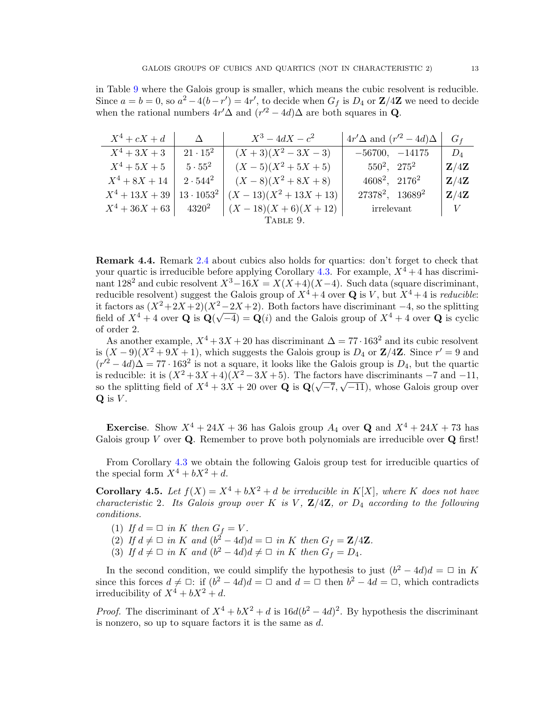in Table [9](#page-12-0) where the Galois group is smaller, which means the cubic resolvent is reducible. Since  $a = b = 0$ , so  $a^2 - 4(b - r') = 4r'$ , to decide when  $G_f$  is  $D_4$  or  $\mathbb{Z}/4\mathbb{Z}$  we need to decide when the rational numbers  $4r'\Delta$  and  $(r'^2 - 4d)\Delta$  are both squares in Q.

| $X^4+cX+d$       | $\Lambda$         | $X^3-4dX-c^2$                                       | $4r'\Delta$ and $(r'^2-4d)\Delta$ | $G_f$                    |
|------------------|-------------------|-----------------------------------------------------|-----------------------------------|--------------------------|
| $X^4 + 3X + 3$   | $21 \cdot 15^2$   | $(X+3)(X^2-3X-3)$                                   | $-56700, -14175$                  | $D_4$                    |
| $X^4 + 5X + 5$   | $5\cdot 55^2$     | $(X-5)(X^2+5X+5)$                                   | $550^2$ , $275^2$                 | $\mathbf{Z}/4\mathbf{Z}$ |
| $X^4 + 8X + 14$  | $2\cdot 544^2$    | $(X-8)(X^2+8X+8)$                                   | $4608^2$ , $2176^2$               | Z/4Z                     |
| $X^4 + 13X + 39$ | $13 \cdot 1053^2$ | $(X-13)(X^2+13X+13)$                                | $27378^2$ , $13689^2$             | $\mathbf{Z}/4\mathbf{Z}$ |
|                  |                   | $X^4 + 36X + 63$ $4320^2$ $(X - 18)(X + 6)(X + 12)$ | irrelevant                        | V                        |
|                  |                   | TABLE 9.                                            |                                   |                          |

<span id="page-12-0"></span>Remark 4.4. Remark [2.4](#page-1-4) about cubics also holds for quartics: don't forget to check that your quartic is irreducible before applying Corollary [4.3.](#page-11-1) For example,  $X^4 + 4$  has discriminant  $128^2$  and cubic resolvent  $X^3-16X=X(X+4)(X-4)$ . Such data (square discriminant, reducible resolvent) suggest the Galois group of  $X^4 + 4$  over Q is V, but  $X^4 + 4$  is reducible: it factors as  $(X^2+2X+2)(X^2-2X+2)$ . Both factors have discriminant −4, so the splitting field of  $X^4 + 4$  over Q is  $\mathbf{Q}(\sqrt{-4}) = \mathbf{Q}(i)$  and the Galois group of  $X^4 + 4$  over Q is cyclic of order 2.

As another example,  $X^4 + 3X + 20$  has discriminant  $\Delta = 77 \cdot 163^2$  and its cubic resolvent is  $(X-9)(X^2+9X+1)$ , which suggests the Galois group is  $D_4$  or  $\mathbb{Z}/4\mathbb{Z}$ . Since  $r'=9$  and  $(r'^2 - 4d)\Delta = 77 \cdot 163^2$  is not a square, it looks like the Galois group is  $D_4$ , but the quartic is reducible: it is  $(X^2 + 3X + 4)(X^2 - 3X + 5)$ . The factors have discriminants –7 and –11, so the splitting field of  $X^4 + 3X + 20$  over Q is  $\mathbf{Q}(\sqrt{-7}, \sqrt{-11})$ , whose Galois group over  $Q$  is  $V$ .

**Exercise.** Show  $X^4 + 24X + 36$  has Galois group  $A_4$  over **Q** and  $X^4 + 24X + 73$  has Galois group V over  $Q$ . Remember to prove both polynomials are irreducible over  $Q$  first!

From Corollary [4.3](#page-11-1) we obtain the following Galois group test for irreducible quartics of the special form  $X^4 + bX^2 + d$ .

<span id="page-12-1"></span>**Corollary 4.5.** Let  $f(X) = X^4 + bX^2 + d$  be irreducible in K[X], where K does not have characteristic 2. Its Galois group over K is V,  $\mathbb{Z}/4\mathbb{Z}$ , or  $D_4$  according to the following conditions.

- (1) If  $d = \square$  in K then  $G_f = V$ .
- (2) If  $d \neq \Box$  in K and  $(b^2 4d)d = \Box$  in K then  $G_f = \mathbf{Z}/4\mathbf{Z}$ .
- (3) If  $d \neq \Box$  in K and  $(b^2 4d)d \neq \Box$  in K then  $G_f = D_4$ .

In the second condition, we could simplify the hypothesis to just  $(b^2 - 4d)d = \Box$  in K since this forces  $d \neq \Box$ : if  $(b^2 - 4d)d = \Box$  and  $d = \Box$  then  $b^2 - 4d = \Box$ , which contradicts irreducibility of  $X^4 + bX^2 + d$ .

*Proof.* The discriminant of  $X^4 + bX^2 + d$  is  $16d(b^2 - 4d)^2$ . By hypothesis the discriminant is nonzero, so up to square factors it is the same as d.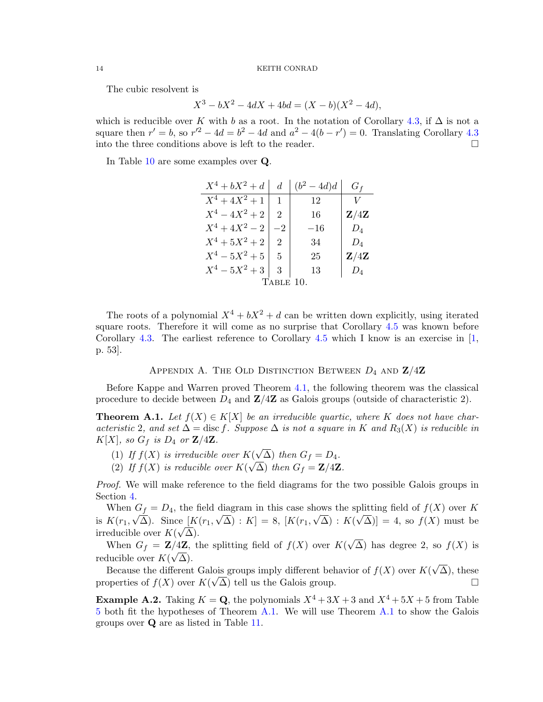The cubic resolvent is

$$
X^3 - bX^2 - 4dX + 4bd = (X - b)(X^2 - 4d),
$$

which is reducible over K with b as a root. In the notation of Corollary [4.3,](#page-11-1) if  $\Delta$  is not a square then  $r' = b$ , so  $r'^2 - 4d = b^2 - 4d$  and  $a^2 - 4(b - r') = 0$ . Translating Corollary [4.3](#page-11-1) into the three conditions above is left to the reader.  $\Box$ 

In Table [10](#page-13-0) are some examples over Q.

<span id="page-13-0"></span>

| $X^4 + bX^2 + d$ | d.                          | $-4d$ | $G_f$                    |
|------------------|-----------------------------|-------|--------------------------|
| $X^4 + 4X^2 + 1$ |                             | 12    |                          |
| $X^4 - 4X^2 + 2$ | $\mathcal{D}_{\mathcal{L}}$ | 16    | $\mathbf{Z}/4\mathbf{Z}$ |
| $X^4 + 4X^2 - 2$ |                             | $-16$ | $D_4$                    |
| $X^4 + 5X^2 + 2$ | 2                           | 34    | $D_4$                    |
| $X^4 - 5X^2 + 5$ | $\frac{5}{2}$               | 25    | 4Ζ                       |
| $X^4 - 5X^2 + 3$ | 3                           | 13    |                          |
|                  | TABLE 10.                   |       |                          |

The roots of a polynomial  $X^4 + bX^2 + d$  can be written down explicitly, using iterated square roots. Therefore it will come as no surprise that Corollary [4.5](#page-12-1) was known before Corollary [4.3.](#page-11-1) The earliest reference to Corollary [4.5](#page-12-1) which I know is an exercise in  $\vert 1$ , p. 53].

# APPENDIX A. THE OLD DISTINCTION BETWEEN  $D_4$  and  $\mathbf{Z}/4\mathbf{Z}$

Before Kappe and Warren proved Theorem [4.1,](#page-9-2) the following theorem was the classical procedure to decide between  $D_4$  and  $\mathbb{Z}/4\mathbb{Z}$  as Galois groups (outside of characteristic 2).

<span id="page-13-1"></span>**Theorem A.1.** Let  $f(X) \in K[X]$  be an irreducible quartic, where K does not have characteristic 2, and set  $\Delta = \text{disc } f$ . Suppose  $\Delta$  is not a square in K and  $R_3(X)$  is reducible in  $K[X]$ , so  $G_f$  is  $D_4$  or  $\mathbf{Z}/4\mathbf{Z}$ . √

- (1) If  $f(X)$  is irreducible over  $K($  $\chi(\sqrt{\Delta})$  then  $G_f = D_4$ .
- (2) If  $f(X)$  is reducible over  $K(\sqrt{\Delta})$  then  $G_f = \mathbf{Z}/4\mathbf{Z}$ .

*Proof.* We will make reference to the field diagrams for the two possible Galois groups in Section [4.](#page-9-3)

When  $G_f = D_4$ , the field diagram in this case shows the splitting field of  $f(X)$  over K is  $K(r_1, \sqrt{\Delta})$ . Since  $[K(r_1, \sqrt{\Delta}) : K] = 8$ ,  $[K(r_1, \sqrt{\Delta}) : K(\sqrt{\Delta})] = 4$ , so  $f(X)$  must be irreducible over  $K(\sqrt{\Delta})$ . √

When  $G_f = \mathbf{Z}/4\mathbf{Z}$ , the splitting field of  $f(X)$  over  $K(x)$  $\overline{A}$  ( $\overline{A}$ ) the splitting field of  $f(X)$  over  $K(\sqrt{\Delta})$  has degree 2, so  $f(X)$  is reducible over  $K(\sqrt{\Delta})$ . √

Because the different Galois groups imply different behavior of  $f(X)$  over  $K($ lois groups imply different behavior of  $f(X)$  over  $K(\sqrt{\Delta})$ , these properties of  $f(X)$  over  $K(\sqrt{\Delta})$  tell us the Galois group.

**Example A.2.** Taking  $K = \mathbf{Q}$ , the polynomials  $X^4 + 3X + 3$  and  $X^4 + 5X + 5$  from Table [5](#page-7-0) both fit the hypotheses of Theorem [A.1.](#page-13-1) We will use Theorem [A.1](#page-13-1) to show the Galois groups over Q are as listed in Table [11.](#page-14-0)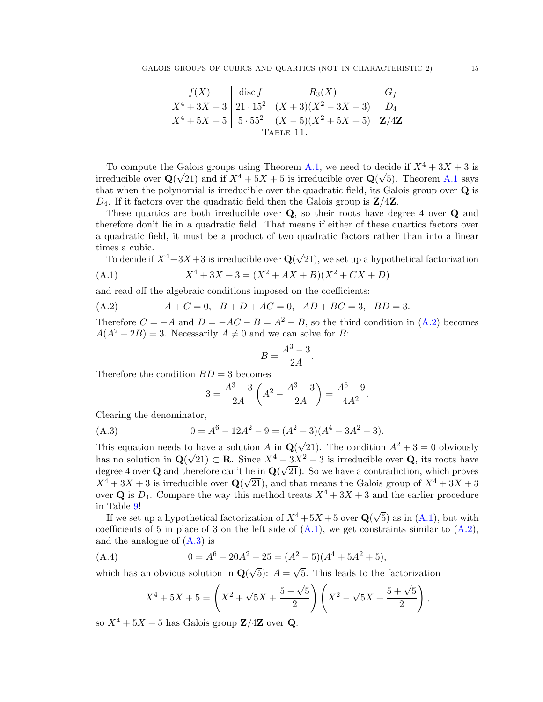<span id="page-14-0"></span>

| f(X)     | disc $f$ | $R_3(X)$                                               | $\mid G_f$ |  |
|----------|----------|--------------------------------------------------------|------------|--|
|          |          | $X^4 + 3X + 3  21 \cdot 15^2   (X+3)(X^2-3X-3)   D_4$  |            |  |
|          |          | $X^4 + 5X + 5$ 5 $55^2$ $(X - 5)(X^2 + 5X + 5)$ $Z/4Z$ |            |  |
| TABLE 11 |          |                                                        |            |  |

To compute the Galois groups using Theorem [A.1,](#page-13-1) we need to decide if  $X^4 + 3X + 3$  is irreducible over  $\mathbf{Q}(\sqrt{21})$  and if  $X^4 + 5X + 5$  is irreducible over  $\mathbf{Q}(\sqrt{5})$ . Theorem [A.1](#page-13-1) says that when the polynomial is irreducible over the quadratic field, its Galois group over Q is  $D_4$ . If it factors over the quadratic field then the Galois group is  $\mathbb{Z}/4\mathbb{Z}$ .

These quartics are both irreducible over Q, so their roots have degree 4 over Q and therefore don't lie in a quadratic field. That means if either of these quartics factors over a quadratic field, it must be a product of two quadratic factors rather than into a linear times a cubic.

<span id="page-14-2"></span>nes a cubic.<br>To decide if  $X^4\!+\!3X\!+\!3$  is irreducible over  ${\bf Q}(\surd)$ 21), we set up a hypothetical factorization

(A.1) 
$$
X^4 + 3X + 3 = (X^2 + AX + B)(X^2 + CX + D)
$$

and read off the algebraic conditions imposed on the coefficients:

<span id="page-14-1"></span>(A.2) 
$$
A + C = 0
$$
,  $B + D + AC = 0$ ,  $AD + BC = 3$ ,  $BD = 3$ .

Therefore  $C = -A$  and  $D = -AC - B = A^2 - B$ , so the third condition in  $(A.2)$  becomes  $A(A^2 - 2B) = 3$ . Necessarily  $A \neq 0$  and we can solve for B:

$$
B = \frac{A^3 - 3}{2A}.
$$

Therefore the condition  $BD = 3$  becomes

<span id="page-14-3"></span>
$$
3 = \frac{A^3 - 3}{2A} \left( A^2 - \frac{A^3 - 3}{2A} \right) = \frac{A^6 - 9}{4A^2}.
$$

Clearing the denominator,

(A.3) 
$$
0 = A^6 - 12A^2 - 9 = (A^2 + 3)(A^4 - 3A^2 - 3).
$$

This equation needs to have a solution  $A$  in  $\mathbf{Q}$ o have a solution  $A$  in  $\mathbf{Q}(\sqrt{21})$ . The condition  $A^2 + 3 = 0$  obviously has no solution in  $\mathbf{Q}(\sqrt{21}) \subset \mathbf{R}$ . Since  $X^4 - 3X^2 - 3$  is irreducible over **Q**, its roots have degree 4 over **Q** and therefore can't lie in  $\mathbf{Q}(\sqrt{21})$ . So we have a contradiction, which proves  $X^4 + 3X + 3$  is irreducible over  $\mathbf{Q}(\sqrt{21})$ , and that means the Galois group of  $X^4 + 3X + 3$ over **Q** is  $D_4$ . Compare the way this method treats  $X^4 + 3X + 3$  and the earlier procedure in Table [9!](#page-12-0)

Table 9!<br>If we set up a hypothetical factorization of  $X^4 + 5X + 5$  over  $\mathbf{Q}(\sqrt{\ }$ 5) as in  $(A.1)$ , but with coefficients of 5 in place of 3 on the left side of  $(A.1)$ , we get constraints similar to  $(A.2)$ , and the analogue of  $(A.3)$  is

(A.4) 
$$
0 = A^6 - 20A^2 - 25 = (A^2 - 5)(A^4 + 5A^2 + 5),
$$

which has an obvious solution in  $Q($ 5):  $A =$ 5. This leads to the factorization

<span id="page-14-4"></span>
$$
X^{4} + 5X + 5 = \left(X^{2} + \sqrt{5}X + \frac{5 - \sqrt{5}}{2}\right)\left(X^{2} - \sqrt{5}X + \frac{5 + \sqrt{5}}{2}\right),
$$

so  $X^4 + 5X + 5$  has Galois group  $\mathbb{Z}/4\mathbb{Z}$  over Q.